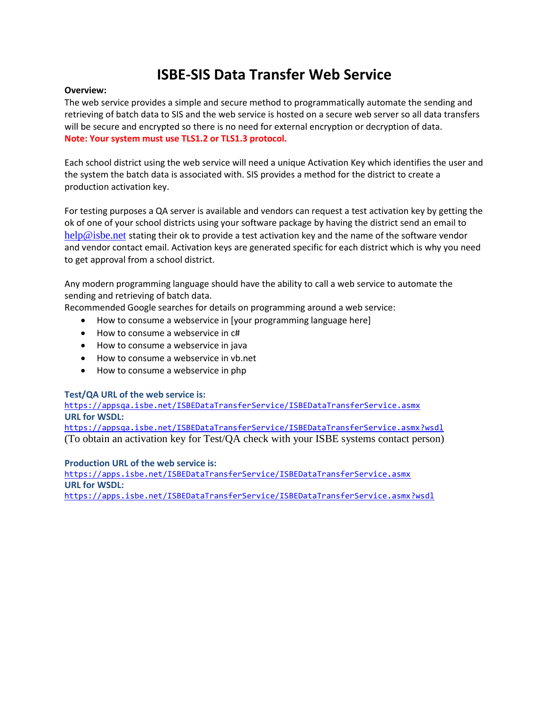# **ISBE-SIS Data Transfer Web Service**

#### **Overview:**

The web service provides a simple and secure method to programmatically automate the sending and retrieving of batch data to SIS and the web service is hosted on a secure web server so all data transfers will be secure and encrypted so there is no need for external encryption or decryption of data. **Note: Your system must use TLS1.2 or TLS1.3 protocol.**

Each school district using the web service will need a unique Activation Key which identifies the user and the system the batch data is associated with. SIS provides a method for the district to create a production activation key.

For testing purposes a QA server is available and vendors can request a test activation key by getting the ok of one of your school districts using your software package by having the district send an email to [help@isbe.net](mailto:help@isbe.net) stating their ok to provide a test activation key and the name of the software vendor and vendor contact email. Activation keys are generated specific for each district which is why you need to get approval from a school district.

Any modern programming language should have the ability to call a web service to automate the sending and retrieving of batch data.

Recommended Google searches for details on programming around a web service:

- How to consume a webservice in [your programming language here]
- How to consume a webservice in c#
- How to consume a webservice in java
- How to consume a webservice in vb.net
- How to consume a webservice in php

# **Test/QA URL of the web service is:**

<https://appsqa.isbe.net/ISBEDataTransferService/ISBEDataTransferService.asmx> **URL for WSDL:**

<https://appsqa.isbe.net/ISBEDataTransferService/ISBEDataTransferService.asmx?wsdl> (To obtain an activation key for Test/QA check with your ISBE systems contact person)

#### **Production URL of the web service is:**

<https://apps.isbe.net/ISBEDataTransferService/ISBEDataTransferService.asmx> **URL for WSDL:**

<https://apps.isbe.net/ISBEDataTransferService/ISBEDataTransferService.asmx?wsdl>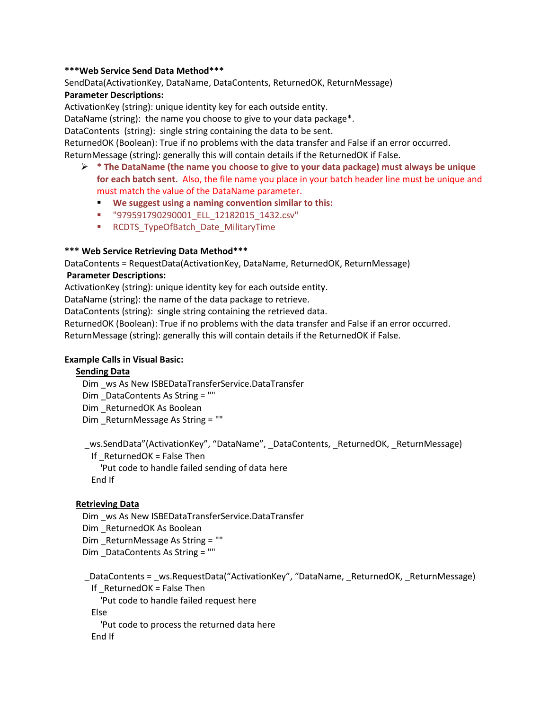#### **\*\*\*Web Service Send Data Method\*\*\***

SendData(ActivationKey, DataName, DataContents, ReturnedOK, ReturnMessage)

# **Parameter Descriptions:**

ActivationKey (string): unique identity key for each outside entity.

DataName (string): the name you choose to give to your data package\*.

DataContents (string): single string containing the data to be sent.

ReturnedOK (Boolean): True if no problems with the data transfer and False if an error occurred.

ReturnMessage (string): generally this will contain details if the ReturnedOK if False.

- **\* The DataName (the name you choose to give to your data package) must always be unique for each batch sent.** Also, the file name you place in your batch header line must be unique and must match the value of the DataName parameter.
	- **We suggest using a naming convention similar to this:**
	- "979591790290001\_ELL\_12182015\_1432.csv"
	- **RCDTS** TypeOfBatch Date MilitaryTime

#### **\*\*\* Web Service Retrieving Data Method\*\*\***

DataContents = RequestData(ActivationKey, DataName, ReturnedOK, ReturnMessage)

#### **Parameter Descriptions:**

ActivationKey (string): unique identity key for each outside entity.

DataName (string): the name of the data package to retrieve.

DataContents (string): single string containing the retrieved data.

ReturnedOK (Boolean): True if no problems with the data transfer and False if an error occurred. ReturnMessage (string): generally this will contain details if the ReturnedOK if False.

# **Example Calls in Visual Basic:**

#### **Sending Data**

Dim \_ws As New ISBEDataTransferService.DataTransfer

Dim DataContents As String = ""

Dim ReturnedOK As Boolean

Dim ReturnMessage As String = ""

 \_ws.SendData"(ActivationKey", "DataName", \_DataContents, \_ReturnedOK, \_ReturnMessage) If  $RetrunedOK = False Then$ 

'Put code to handle failed sending of data here

End If

# **Retrieving Data**

 Dim \_ws As New ISBEDataTransferService.DataTransfer Dim \_ReturnedOK As Boolean Dim \_ReturnMessage As String = "" Dim \_DataContents As String = ""

 \_DataContents = \_ws.RequestData("ActivationKey", "DataName, \_ReturnedOK, \_ReturnMessage) If  $RetrunedOK = False Then$ 

'Put code to handle failed request here

Else

 'Put code to process the returned data here End If